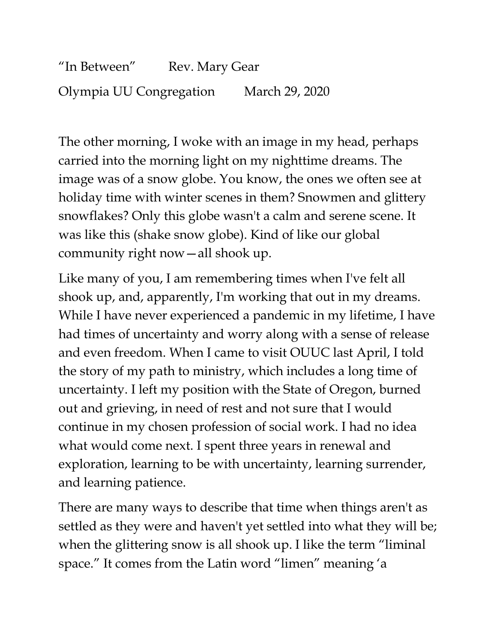"In Between" Rev. Mary Gear Olympia UU Congregation March 29, 2020

The other morning, I woke with an image in my head, perhaps carried into the morning light on my nighttime dreams. The image was of a snow globe. You know, the ones we often see at holiday time with winter scenes in them? Snowmen and glittery snowflakes? Only this globe wasn't a calm and serene scene. It was like this (shake snow globe). Kind of like our global community right now—all shook up.

Like many of you, I am remembering times when I've felt all shook up, and, apparently, I'm working that out in my dreams. While I have never experienced a pandemic in my lifetime, I have had times of uncertainty and worry along with a sense of release and even freedom. When I came to visit OUUC last April, I told the story of my path to ministry, which includes a long time of uncertainty. I left my position with the State of Oregon, burned out and grieving, in need of rest and not sure that I would continue in my chosen profession of social work. I had no idea what would come next. I spent three years in renewal and exploration, learning to be with uncertainty, learning surrender, and learning patience.

There are many ways to describe that time when things aren't as settled as they were and haven't yet settled into what they will be; when the glittering snow is all shook up. I like the term "liminal space." It comes from the Latin word "limen" meaning 'a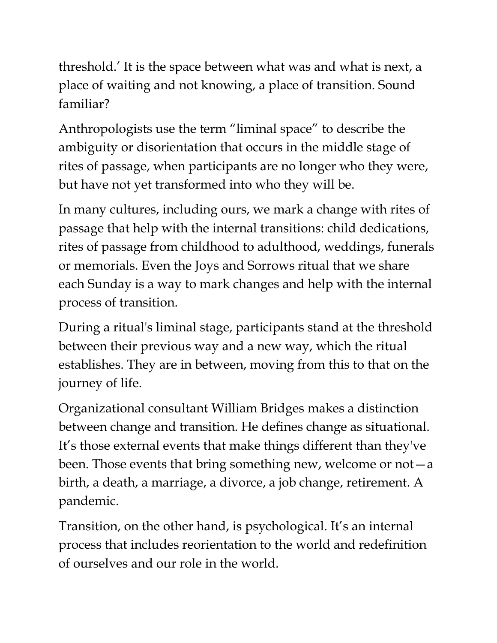threshold.' It is the space between what was and what is next, a place of waiting and not knowing, a place of transition. Sound familiar?

Anthropologists use the term "liminal space" to describe the ambiguity or disorientation that occurs in the middle stage of rites of passage, when participants are no longer who they were, but have not yet transformed into who they will be.

In many cultures, including ours, we mark a change with rites of passage that help with the internal transitions: child dedications, rites of passage from childhood to adulthood, weddings, funerals or memorials. Even the Joys and Sorrows ritual that we share each Sunday is a way to mark changes and help with the internal process of transition.

During a ritual's liminal stage, participants stand at the threshold between their previous way and a new way, which the ritual establishes. They are in between, moving from this to that on the journey of life.

Organizational consultant William Bridges makes a distinction between change and transition. He defines change as situational. It's those external events that make things different than they've been. Those events that bring something new, welcome or  $not-a$ birth, a death, a marriage, a divorce, a job change, retirement. A pandemic.

Transition, on the other hand, is psychological. It's an internal process that includes reorientation to the world and redefinition of ourselves and our role in the world.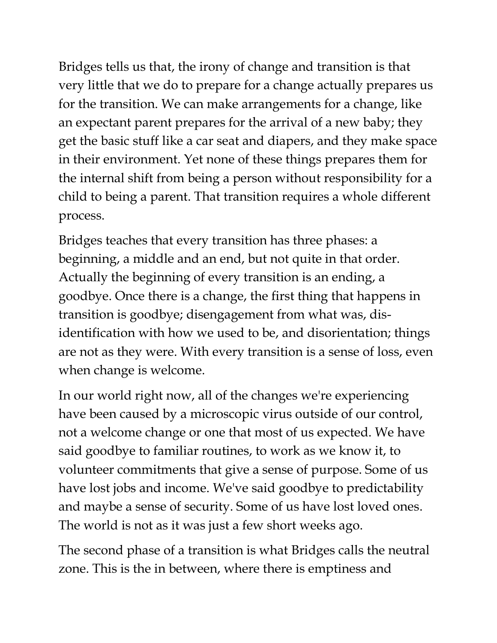Bridges tells us that, the irony of change and transition is that very little that we do to prepare for a change actually prepares us for the transition. We can make arrangements for a change, like an expectant parent prepares for the arrival of a new baby; they get the basic stuff like a car seat and diapers, and they make space in their environment. Yet none of these things prepares them for the internal shift from being a person without responsibility for a child to being a parent. That transition requires a whole different process.

Bridges teaches that every transition has three phases: a beginning, a middle and an end, but not quite in that order. Actually the beginning of every transition is an ending, a goodbye. Once there is a change, the first thing that happens in transition is goodbye; disengagement from what was, disidentification with how we used to be, and disorientation; things are not as they were. With every transition is a sense of loss, even when change is welcome.

In our world right now, all of the changes we're experiencing have been caused by a microscopic virus outside of our control, not a welcome change or one that most of us expected. We have said goodbye to familiar routines, to work as we know it, to volunteer commitments that give a sense of purpose. Some of us have lost jobs and income. We've said goodbye to predictability and maybe a sense of security. Some of us have lost loved ones. The world is not as it was just a few short weeks ago.

The second phase of a transition is what Bridges calls the neutral zone. This is the in between, where there is emptiness and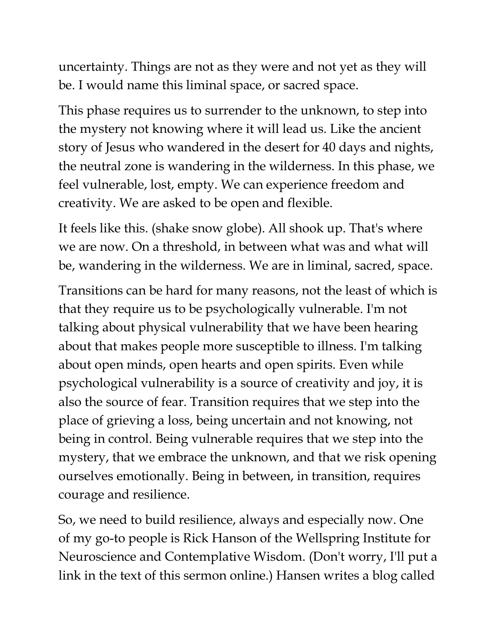uncertainty. Things are not as they were and not yet as they will be. I would name this liminal space, or sacred space.

This phase requires us to surrender to the unknown, to step into the mystery not knowing where it will lead us. Like the ancient story of Jesus who wandered in the desert for 40 days and nights, the neutral zone is wandering in the wilderness. In this phase, we feel vulnerable, lost, empty. We can experience freedom and creativity. We are asked to be open and flexible.

It feels like this. (shake snow globe). All shook up. That's where we are now. On a threshold, in between what was and what will be, wandering in the wilderness. We are in liminal, sacred, space.

Transitions can be hard for many reasons, not the least of which is that they require us to be psychologically vulnerable. I'm not talking about physical vulnerability that we have been hearing about that makes people more susceptible to illness. I'm talking about open minds, open hearts and open spirits. Even while psychological vulnerability is a source of creativity and joy, it is also the source of fear. Transition requires that we step into the place of grieving a loss, being uncertain and not knowing, not being in control. Being vulnerable requires that we step into the mystery, that we embrace the unknown, and that we risk opening ourselves emotionally. Being in between, in transition, requires courage and resilience.

So, we need to build resilience, always and especially now. One of my go-to people is Rick Hanson of the Wellspring Institute for Neuroscience and Contemplative Wisdom. (Don't worry, I'll put a link in the text of this sermon online.) Hansen writes a blog called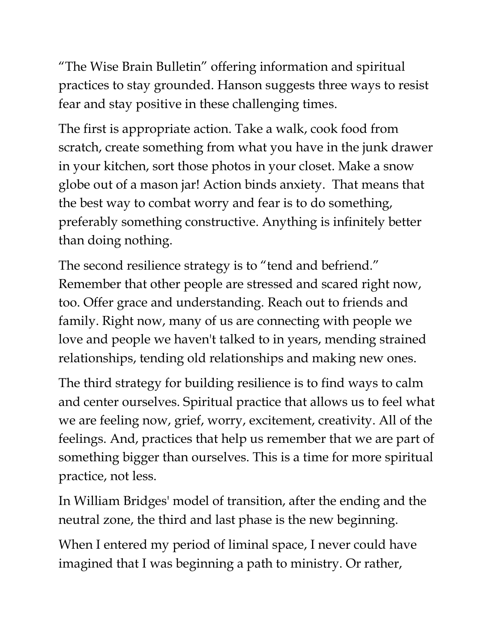"The Wise Brain Bulletin" offering information and spiritual practices to stay grounded. Hanson suggests three ways to resist fear and stay positive in these challenging times.

The first is appropriate action. Take a walk, cook food from scratch, create something from what you have in the junk drawer in your kitchen, sort those photos in your closet. Make a snow globe out of a mason jar! Action binds anxiety. That means that the best way to combat worry and fear is to do something, preferably something constructive. Anything is infinitely better than doing nothing.

The second resilience strategy is to "tend and befriend." Remember that other people are stressed and scared right now, too. Offer grace and understanding. Reach out to friends and family. Right now, many of us are connecting with people we love and people we haven't talked to in years, mending strained relationships, tending old relationships and making new ones.

The third strategy for building resilience is to find ways to calm and center ourselves. Spiritual practice that allows us to feel what we are feeling now, grief, worry, excitement, creativity. All of the feelings. And, practices that help us remember that we are part of something bigger than ourselves. This is a time for more spiritual practice, not less.

In William Bridges' model of transition, after the ending and the neutral zone, the third and last phase is the new beginning.

When I entered my period of liminal space, I never could have imagined that I was beginning a path to ministry. Or rather,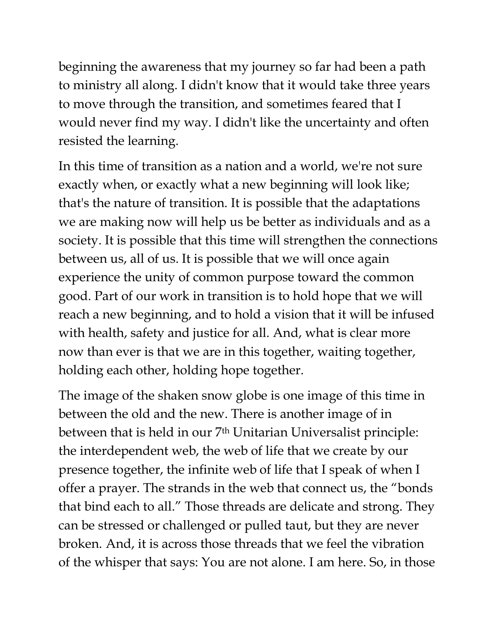beginning the awareness that my journey so far had been a path to ministry all along. I didn't know that it would take three years to move through the transition, and sometimes feared that I would never find my way. I didn't like the uncertainty and often resisted the learning.

In this time of transition as a nation and a world, we're not sure exactly when, or exactly what a new beginning will look like; that's the nature of transition. It is possible that the adaptations we are making now will help us be better as individuals and as a society. It is possible that this time will strengthen the connections between us, all of us. It is possible that we will once again experience the unity of common purpose toward the common good. Part of our work in transition is to hold hope that we will reach a new beginning, and to hold a vision that it will be infused with health, safety and justice for all. And, what is clear more now than ever is that we are in this together, waiting together, holding each other, holding hope together.

The image of the shaken snow globe is one image of this time in between the old and the new. There is another image of in between that is held in our 7<sup>th</sup> Unitarian Universalist principle: the interdependent web, the web of life that we create by our presence together, the infinite web of life that I speak of when I offer a prayer. The strands in the web that connect us, the "bonds that bind each to all." Those threads are delicate and strong. They can be stressed or challenged or pulled taut, but they are never broken. And, it is across those threads that we feel the vibration of the whisper that says: You are not alone. I am here. So, in those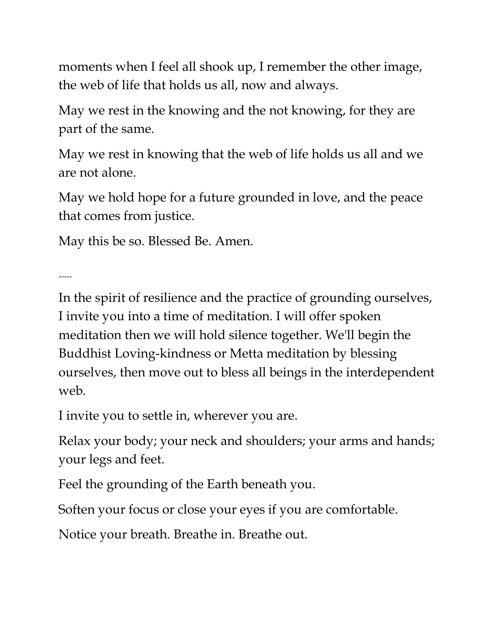moments when I feel all shook up, I remember the other image, the web of life that holds us all, now and always.

May we rest in the knowing and the not knowing, for they are part of the same.

May we rest in knowing that the web of life holds us all and we are not alone.

May we hold hope for a future grounded in love, and the peace that comes from justice.

May this be so. Blessed Be. Amen.

-----

In the spirit of resilience and the practice of grounding ourselves, I invite you into a time of meditation. I will offer spoken meditation then we will hold silence together. We'll begin the Buddhist Loving-kindness or Metta meditation by blessing ourselves, then move out to bless all beings in the interdependent web.

I invite you to settle in, wherever you are.

Relax your body; your neck and shoulders; your arms and hands; your legs and feet.

Feel the grounding of the Earth beneath you.

Soften your focus or close your eyes if you are comfortable.

Notice your breath. Breathe in. Breathe out.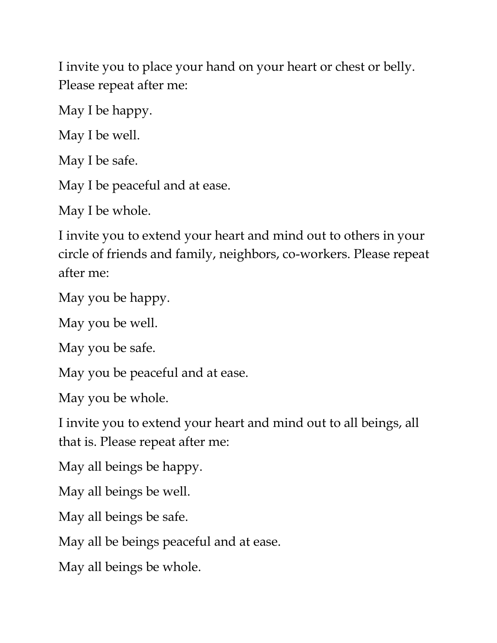I invite you to place your hand on your heart or chest or belly. Please repeat after me:

May I be happy.

May I be well.

May I be safe.

May I be peaceful and at ease.

May I be whole.

I invite you to extend your heart and mind out to others in your circle of friends and family, neighbors, co-workers. Please repeat after me:

May you be happy.

May you be well.

May you be safe.

May you be peaceful and at ease.

May you be whole.

I invite you to extend your heart and mind out to all beings, all that is. Please repeat after me:

May all beings be happy.

May all beings be well.

May all beings be safe.

May all be beings peaceful and at ease.

May all beings be whole.